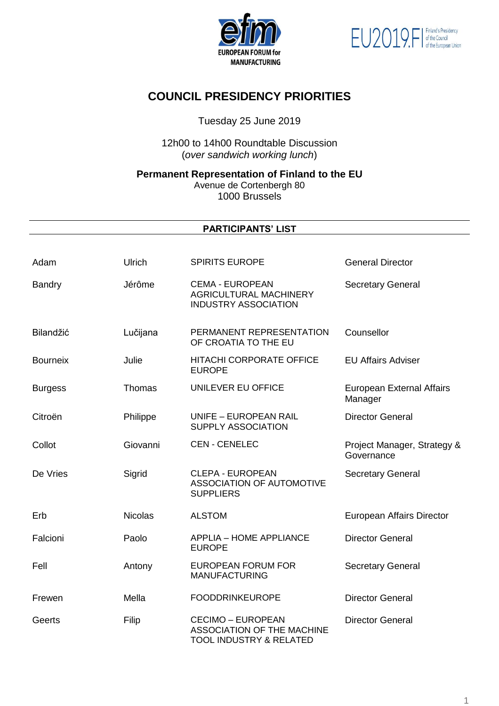



# **COUNCIL PRESIDENCY PRIORITIES**

Tuesday 25 June 2019

12h00 to 14h00 Roundtable Discussion (*over sandwich working lunch*)

**Permanent Representation of Finland to the EU**

Avenue de Cortenbergh 80 1000 Brussels

### **PARTICIPANTS' LIST**

| Adam            | Ulrich         | <b>SPIRITS EUROPE</b>                                                                               | <b>General Director</b>                     |
|-----------------|----------------|-----------------------------------------------------------------------------------------------------|---------------------------------------------|
| <b>Bandry</b>   | Jérôme         | <b>CEMA - EUROPEAN</b><br><b>AGRICULTURAL MACHINERY</b><br><b>INDUSTRY ASSOCIATION</b>              | <b>Secretary General</b>                    |
| Bilandžić       | Lučijana       | PERMANENT REPRESENTATION<br>OF CROATIA TO THE EU                                                    | Counsellor                                  |
| <b>Bourneix</b> | Julie          | <b>HITACHI CORPORATE OFFICE</b><br><b>EUROPE</b>                                                    | <b>EU Affairs Adviser</b>                   |
| <b>Burgess</b>  | Thomas         | UNILEVER EU OFFICE                                                                                  | <b>European External Affairs</b><br>Manager |
| Citroën         | Philippe       | UNIFE - EUROPEAN RAIL<br>SUPPLY ASSOCIATION                                                         | <b>Director General</b>                     |
| Collot          | Giovanni       | <b>CEN - CENELEC</b>                                                                                | Project Manager, Strategy &<br>Governance   |
| De Vries        | Sigrid         | <b>CLEPA - EUROPEAN</b><br>ASSOCIATION OF AUTOMOTIVE<br><b>SUPPLIERS</b>                            | <b>Secretary General</b>                    |
| Erb             | <b>Nicolas</b> | <b>ALSTOM</b>                                                                                       | European Affairs Director                   |
| Falcioni        | Paolo          | <b>APPLIA - HOME APPLIANCE</b><br><b>EUROPE</b>                                                     | <b>Director General</b>                     |
| Fell            | Antony         | <b>EUROPEAN FORUM FOR</b><br><b>MANUFACTURING</b>                                                   | <b>Secretary General</b>                    |
| Frewen          | Mella          | <b>FOODDRINKEUROPE</b>                                                                              | <b>Director General</b>                     |
| Geerts          | Filip          | <b>CECIMO - EUROPEAN</b><br><b>ASSOCIATION OF THE MACHINE</b><br><b>TOOL INDUSTRY &amp; RELATED</b> | <b>Director General</b>                     |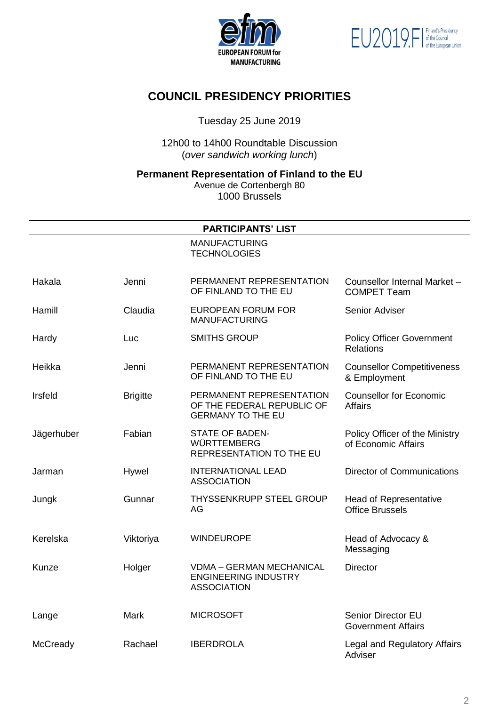



## **COUNCIL PRESIDENCY PRIORITIES**

Tuesday 25 June 2019

12h00 to 14h00 Roundtable Discussion (*over sandwich working lunch*)

**Permanent Representation of Finland to the EU**

Avenue de Cortenbergh 80 1000 Brussels

| <b>PARTICIPANTS' LIST</b> |                 |                                                                                      |                                                         |  |  |  |
|---------------------------|-----------------|--------------------------------------------------------------------------------------|---------------------------------------------------------|--|--|--|
|                           |                 | <b>MANUFACTURING</b><br><b>TECHNOLOGIES</b>                                          |                                                         |  |  |  |
| Hakala                    | Jenni           | PERMANENT REPRESENTATION<br>OF FINLAND TO THE EU                                     | Counsellor Internal Market -<br><b>COMPET Team</b>      |  |  |  |
| Hamill                    | Claudia         | <b>EUROPEAN FORUM FOR</b><br><b>MANUFACTURING</b>                                    | Senior Adviser                                          |  |  |  |
| Hardy                     | Luc             | <b>SMITHS GROUP</b>                                                                  | <b>Policy Officer Government</b><br><b>Relations</b>    |  |  |  |
| Heikka                    | Jenni           | PERMANENT REPRESENTATION<br>OF FINLAND TO THE EU                                     | <b>Counsellor Competitiveness</b><br>& Employment       |  |  |  |
| Irsfeld                   | <b>Brigitte</b> | PERMANENT REPRESENTATION<br>OF THE FEDERAL REPUBLIC OF<br><b>GERMANY TO THE EU</b>   | <b>Counsellor for Economic</b><br>Affairs               |  |  |  |
| Jägerhuber                | Fabian          | <b>STATE OF BADEN-</b><br><b>WÜRTTEMBERG</b><br>REPRESENTATION TO THE EU             | Policy Officer of the Ministry<br>of Economic Affairs   |  |  |  |
| Jarman                    | Hywel           | <b>INTERNATIONAL LEAD</b><br><b>ASSOCIATION</b>                                      | <b>Director of Communications</b>                       |  |  |  |
| Jungk                     | Gunnar          | <b>THYSSENKRUPP STEEL GROUP</b><br>AG                                                | <b>Head of Representative</b><br><b>Office Brussels</b> |  |  |  |
| Kerelska                  | Viktoriya       | <b>WINDEUROPE</b>                                                                    | Head of Advocacy &<br>Messaging                         |  |  |  |
| Kunze                     | Holger          | <b>VDMA - GERMAN MECHANICAL</b><br><b>ENGINEERING INDUSTRY</b><br><b>ASSOCIATION</b> | <b>Director</b>                                         |  |  |  |
| Lange                     | <b>Mark</b>     | <b>MICROSOFT</b>                                                                     | Senior Director EU<br><b>Government Affairs</b>         |  |  |  |
| McCready                  | Rachael         | <b>IBERDROLA</b>                                                                     | Legal and Regulatory Affairs<br>Adviser                 |  |  |  |